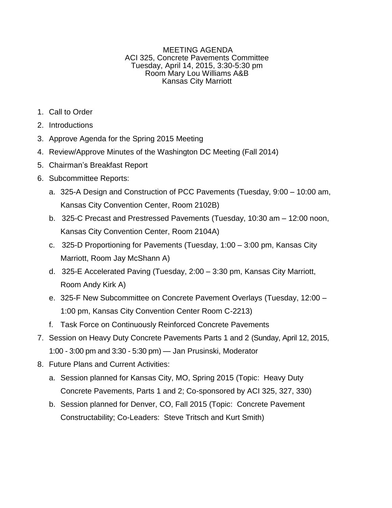## MEETING AGENDA ACI 325, Concrete Pavements Committee Tuesday, April 14, 2015, 3:30-5:30 pm Room Mary Lou Williams A&B Kansas City Marriott

- 1. Call to Order
- 2. Introductions
- 3. Approve Agenda for the Spring 2015 Meeting
- 4. Review/Approve Minutes of the Washington DC Meeting (Fall 2014)
- 5. Chairman's Breakfast Report
- 6. Subcommittee Reports:
	- a. 325-A Design and Construction of PCC Pavements (Tuesday, 9:00 10:00 am, Kansas City Convention Center, Room 2102B)
	- b. 325-C Precast and Prestressed Pavements (Tuesday, 10:30 am 12:00 noon, Kansas City Convention Center, Room 2104A)
	- c. 325-D Proportioning for Pavements (Tuesday, 1:00 3:00 pm, Kansas City Marriott, Room Jay McShann A)
	- d. 325-E Accelerated Paving (Tuesday, 2:00 3:30 pm, Kansas City Marriott, Room Andy Kirk A)
	- e. 325-F New Subcommittee on Concrete Pavement Overlays (Tuesday, 12:00 1:00 pm, Kansas City Convention Center Room C-2213)
	- f. Task Force on Continuously Reinforced Concrete Pavements
- 7. Session on Heavy Duty Concrete Pavements Parts 1 and 2 (Sunday, April 12, 2015, 1:00 - 3:00 pm and 3:30 - 5:30 pm) — Jan Prusinski, Moderator
- 8. Future Plans and Current Activities:
	- a. Session planned for Kansas City, MO, Spring 2015 (Topic: Heavy Duty Concrete Pavements, Parts 1 and 2; Co-sponsored by ACI 325, 327, 330)
	- b. Session planned for Denver, CO, Fall 2015 (Topic: Concrete Pavement Constructability; Co-Leaders: Steve Tritsch and Kurt Smith)